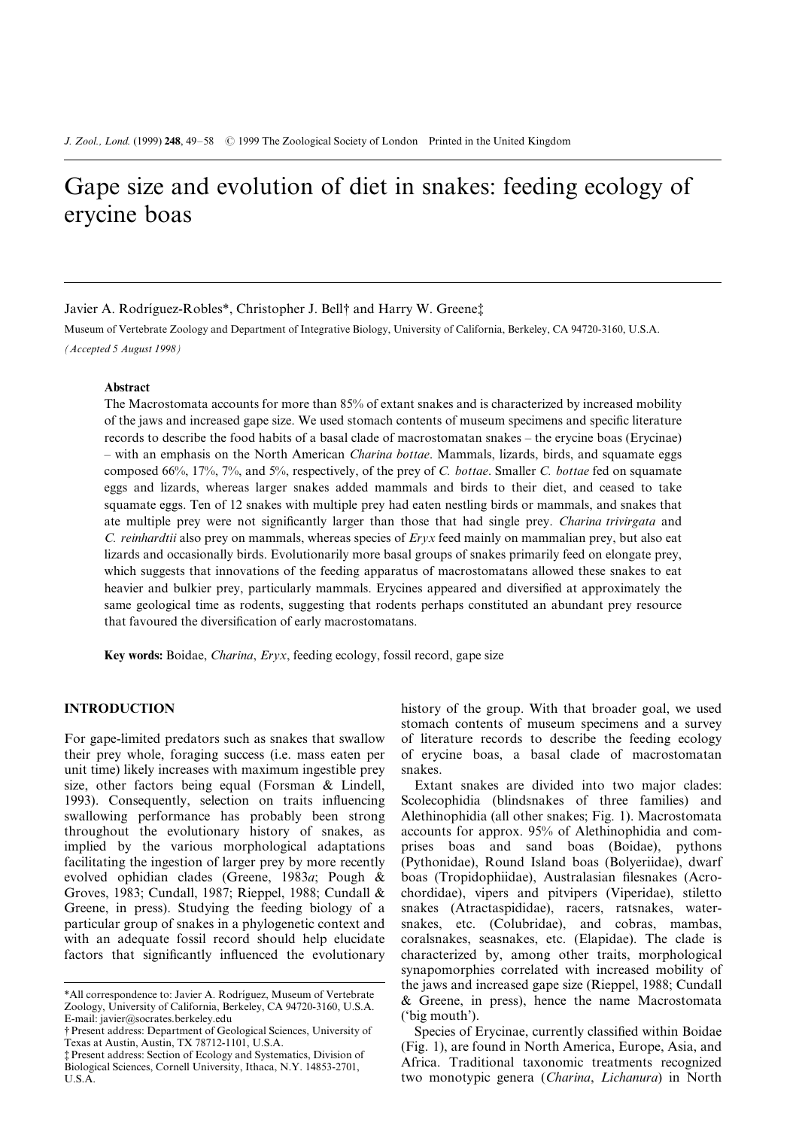# Gape size and evolution of diet in snakes: feeding ecology of erycine boas

Javier A. Rodríguez-Robles\*, Christopher J. Bell† and Harry W. Greene‡

Museum of Vertebrate Zoology and Department of Integrative Biology, University of California, Berkeley, CA 94720-3160, U.S.A. (Accepted 5 August 1998)

### Abstract

The Macrostomata accounts for more than 85% of extant snakes and is characterized by increased mobility of the jaws and increased gape size. We used stomach contents of museum specimens and specific literature records to describe the food habits of a basal clade of macrostomatan snakes – the erycine boas (Erycinae) - with an emphasis on the North American Charina bottae. Mammals, lizards, birds, and squamate eggs composed 66%, 17%, 7%, and 5%, respectively, of the prey of C. bottae. Smaller C. bottae fed on squamate eggs and lizards, whereas larger snakes added mammals and birds to their diet, and ceased to take squamate eggs. Ten of 12 snakes with multiple prey had eaten nestling birds or mammals, and snakes that ate multiple prey were not significantly larger than those that had single prey. Charina trivirgata and C. reinhardtii also prey on mammals, whereas species of Eryx feed mainly on mammalian prey, but also eat lizards and occasionally birds. Evolutionarily more basal groups of snakes primarily feed on elongate prey, which suggests that innovations of the feeding apparatus of macrostomatans allowed these snakes to eat heavier and bulkier prey, particularly mammals. Erycines appeared and diversified at approximately the same geological time as rodents, suggesting that rodents perhaps constituted an abundant prey resource that favoured the diversification of early macrostomatans.

Key words: Boidae, Charina, Eryx, feeding ecology, fossil record, gape size

# INTRODUCTION

For gape-limited predators such as snakes that swallow their prey whole, foraging success (i.e. mass eaten per unit time) likely increases with maximum ingestible prey size, other factors being equal (Forsman & Lindell, 1993). Consequently, selection on traits influencing swallowing performance has probably been strong throughout the evolutionary history of snakes, as implied by the various morphological adaptations facilitating the ingestion of larger prey by more recently evolved ophidian clades (Greene, 1983a; Pough & Groves, 1983; Cundall, 1987; Rieppel, 1988; Cundall & Greene, in press). Studying the feeding biology of a particular group of snakes in a phylogenetic context and with an adequate fossil record should help elucidate factors that significantly influenced the evolutionary

history of the group. With that broader goal, we used stomach contents of museum specimens and a survey of literature records to describe the feeding ecology of erycine boas, a basal clade of macrostomatan snakes.

Extant snakes are divided into two major clades: Scolecophidia (blindsnakes of three families) and Alethinophidia (all other snakes; Fig. 1). Macrostomata accounts for approx. 95% of Alethinophidia and comprises boas and sand boas (Boidae), pythons (Pythonidae), Round Island boas (Bolyeriidae), dwarf boas (Tropidophiidae), Australasian filesnakes (Acrochordidae), vipers and pitvipers (Viperidae), stiletto snakes (Atractaspididae), racers, ratsnakes, watersnakes, etc. (Colubridae), and cobras, mambas, coralsnakes, seasnakes, etc. (Elapidae). The clade is characterized by, among other traits, morphological synapomorphies correlated with increased mobility of the jaws and increased gape size (Rieppel, 1988; Cundall & Greene, in press), hence the name Macrostomata (`big mouth').

Species of Erycinae, currently classified within Boidae (Fig. 1), are found in North America, Europe, Asia, and Africa. Traditional taxonomic treatments recognized two monotypic genera (Charina, Lichanura) in North

<sup>\*</sup>All correspondence to: Javier A. Rodríguez, Museum of Vertebrate Zoology, University of California, Berkeley, CA 94720-3160, U.S.A. E-mail: javier@socrates.berkeley.edu

<sup>{</sup> Present address: Department of Geological Sciences, University of Texas at Austin, Austin, TX 78712-1101, U.S.A.

<sup>{</sup> Present address: Section of Ecology and Systematics, Division of Biological Sciences, Cornell University, Ithaca, N.Y. 14853-2701, U.S.A.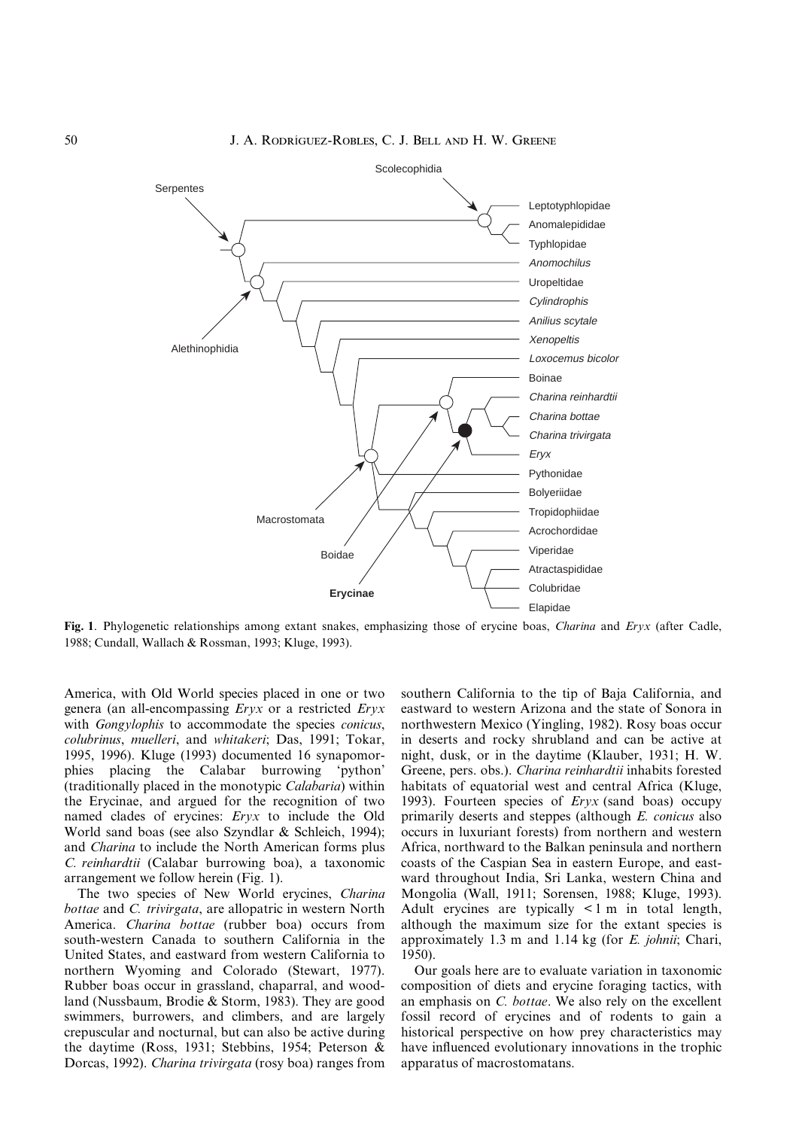

Fig. 1. Phylogenetic relationships among extant snakes, emphasizing those of erycine boas, *Charina* and *Eryx* (after Cadle, 1988; Cundall, Wallach & Rossman, 1993; Kluge, 1993).

America, with Old World species placed in one or two genera (an all-encompassing Eryx or a restricted Eryx with *Gongylophis* to accommodate the species *conicus*, colubrinus, muelleri, and whitakeri; Das, 1991; Tokar, 1995, 1996). Kluge (1993) documented 16 synapomorphies placing the Calabar burrowing `python' (traditionally placed in the monotypic Calabaria) within the Erycinae, and argued for the recognition of two named clades of erycines: Eryx to include the Old World sand boas (see also Szyndlar & Schleich, 1994); and Charina to include the North American forms plus C. reinhardtii (Calabar burrowing boa), a taxonomic arrangement we follow herein (Fig. 1).

The two species of New World erycines, Charina bottae and C. trivirgata, are allopatric in western North America. Charina bottae (rubber boa) occurs from south-western Canada to southern California in the United States, and eastward from western California to northern Wyoming and Colorado (Stewart, 1977). Rubber boas occur in grassland, chaparral, and woodland (Nussbaum, Brodie & Storm, 1983). They are good swimmers, burrowers, and climbers, and are largely crepuscular and nocturnal, but can also be active during the daytime (Ross, 1931; Stebbins, 1954; Peterson & Dorcas, 1992). Charina trivirgata (rosy boa) ranges from southern California to the tip of Baja California, and eastward to western Arizona and the state of Sonora in northwestern Mexico (Yingling, 1982). Rosy boas occur in deserts and rocky shrubland and can be active at night, dusk, or in the daytime (Klauber, 1931; H. W. Greene, pers. obs.). Charina reinhardtii inhabits forested habitats of equatorial west and central Africa (Kluge, 1993). Fourteen species of  $Eryx$  (sand boas) occupy primarily deserts and steppes (although E. conicus also occurs in luxuriant forests) from northern and western Africa, northward to the Balkan peninsula and northern coasts of the Caspian Sea in eastern Europe, and eastward throughout India, Sri Lanka, western China and Mongolia (Wall, 1911; Sorensen, 1988; Kluge, 1993). Adult erycines are typically < 1 m in total length, although the maximum size for the extant species is approximately 1.3 m and 1.14 kg (for E. johnii; Chari, 1950).

Our goals here are to evaluate variation in taxonomic composition of diets and erycine foraging tactics, with an emphasis on C. bottae. We also rely on the excellent fossil record of erycines and of rodents to gain a historical perspective on how prey characteristics may have influenced evolutionary innovations in the trophic apparatus of macrostomatans.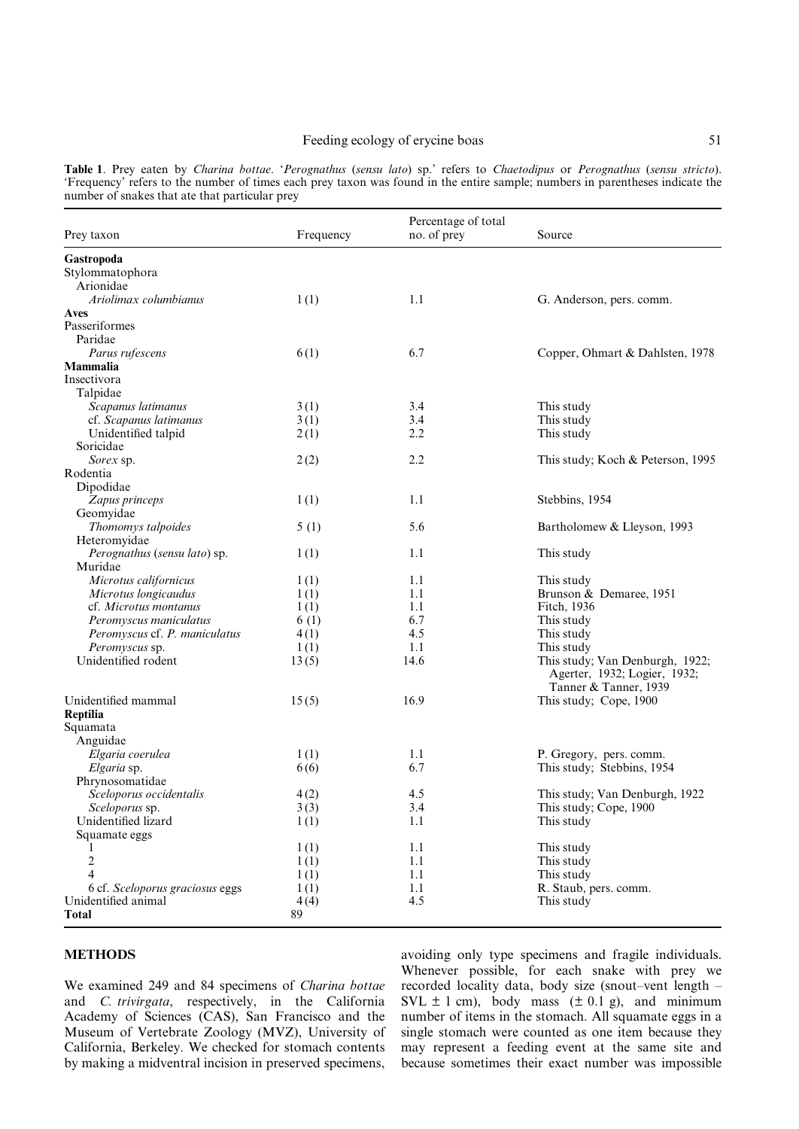## Feeding ecology of erycine boas 51

Table 1. Prey eaten by Charina bottae. `Perognathus (sensu lato) sp.' refers to Chaetodipus or Perognathus (sensu stricto). `Frequency' refers to the number of times each prey taxon was found in the entire sample; numbers in parentheses indicate the number of snakes that ate that particular prey

| Prey taxon                                      | Frequency    | Percentage of total<br>no. of prey | Source                                                          |
|-------------------------------------------------|--------------|------------------------------------|-----------------------------------------------------------------|
| Gastropoda                                      |              |                                    |                                                                 |
| Stylommatophora                                 |              |                                    |                                                                 |
| Arionidae                                       |              |                                    |                                                                 |
| Ariolimax columbianus                           | 1(1)         | 1.1                                | G. Anderson, pers. comm.                                        |
| Aves                                            |              |                                    |                                                                 |
| Passeriformes                                   |              |                                    |                                                                 |
| Paridae                                         |              |                                    |                                                                 |
| Parus rufescens                                 | 6(1)         | 6.7                                | Copper, Ohmart & Dahlsten, 1978                                 |
| Mammalia                                        |              |                                    |                                                                 |
| Insectivora                                     |              |                                    |                                                                 |
| Talpidae                                        |              |                                    |                                                                 |
| Scapanus latimanus                              | 3(1)         | 3.4                                | This study                                                      |
| cf. Scapanus latimanus                          | 3(1)         | 3.4                                | This study                                                      |
| Unidentified talpid                             | 2(1)         | 2.2                                | This study                                                      |
| Soricidae                                       |              |                                    |                                                                 |
| Sorex sp.                                       | 2(2)         | 2.2                                | This study; Koch & Peterson, 1995                               |
| Rodentia                                        |              |                                    |                                                                 |
| Dipodidae                                       |              |                                    |                                                                 |
| Zapus princeps                                  | 1(1)         | 1.1                                | Stebbins, 1954                                                  |
| Geomyidae                                       |              |                                    |                                                                 |
| Thomomys talpoides                              | 5(1)         | 5.6                                | Bartholomew & Lleyson, 1993                                     |
| Heteromyidae                                    |              |                                    |                                                                 |
| Perognathus (sensu lato) sp.                    | 1(1)         | 1.1                                | This study                                                      |
| Muridae                                         |              |                                    |                                                                 |
| Microtus californicus                           | 1(1)         | 1.1                                | This study                                                      |
| Microtus longicaudus                            | 1(1)         | 1.1                                | Brunson & Demaree, 1951                                         |
| cf. Microtus montanus                           | 1(1)         | 1.1                                | Fitch, 1936                                                     |
| Peromyscus maniculatus                          | 6(1)         | 6.7<br>4.5                         | This study                                                      |
| Peromyscus cf. P. maniculatus<br>Peromyscus sp. | 4(1)         | 1.1                                | This study                                                      |
| Unidentified rodent                             | 1(1)         | 14.6                               | This study                                                      |
|                                                 | 13(5)        |                                    | This study; Van Denburgh, 1922;<br>Agerter, 1932; Logier, 1932; |
|                                                 |              |                                    | Tanner & Tanner, 1939                                           |
| Unidentified mammal                             | 15(5)        | 16.9                               | This study; Cope, 1900                                          |
| Reptilia                                        |              |                                    |                                                                 |
| Squamata                                        |              |                                    |                                                                 |
| Anguidae                                        |              |                                    |                                                                 |
| Elgaria coerulea                                | 1(1)         | 1.1                                | P. Gregory, pers. comm.                                         |
| Elgaria sp.                                     | 6(6)         | 6.7                                | This study; Stebbins, 1954                                      |
| Phrynosomatidae                                 |              |                                    |                                                                 |
| Sceloporus occidentalis                         | 4(2)         | 4.5                                | This study; Van Denburgh, 1922                                  |
| <i>Sceloporus</i> sp.<br>Unidentified lizard    | 3(3)         | 3.4                                | This study; Cope, 1900                                          |
|                                                 | 1(1)         | 1.1                                | This study                                                      |
| Squamate eggs                                   |              |                                    | This study                                                      |
| 1<br>$\overline{c}$                             | 1(1)         | 1.1<br>1.1                         |                                                                 |
| 4                                               | 1(1)         |                                    | This study                                                      |
| 6 cf. Sceloporus graciosus eggs                 | 1(1)         | 1.1<br>1.1                         | This study<br>R. Staub, pers. comm.                             |
| Unidentified animal                             | 1(1)<br>4(4) | 4.5                                | This study                                                      |
| <b>Total</b>                                    | 89           |                                    |                                                                 |
|                                                 |              |                                    |                                                                 |

## METHODS

We examined 249 and 84 specimens of Charina bottae and C. trivirgata, respectively, in the California Academy of Sciences (CAS), San Francisco and the Museum of Vertebrate Zoology (MVZ), University of California, Berkeley. We checked for stomach contents by making a midventral incision in preserved specimens,

avoiding only type specimens and fragile individuals. Whenever possible, for each snake with prey we recorded locality data, body size (snout-vent length -SVL  $\pm$  1 cm), body mass ( $\pm$  0.1 g), and minimum number of items in the stomach. All squamate eggs in a single stomach were counted as one item because they may represent a feeding event at the same site and because sometimes their exact number was impossible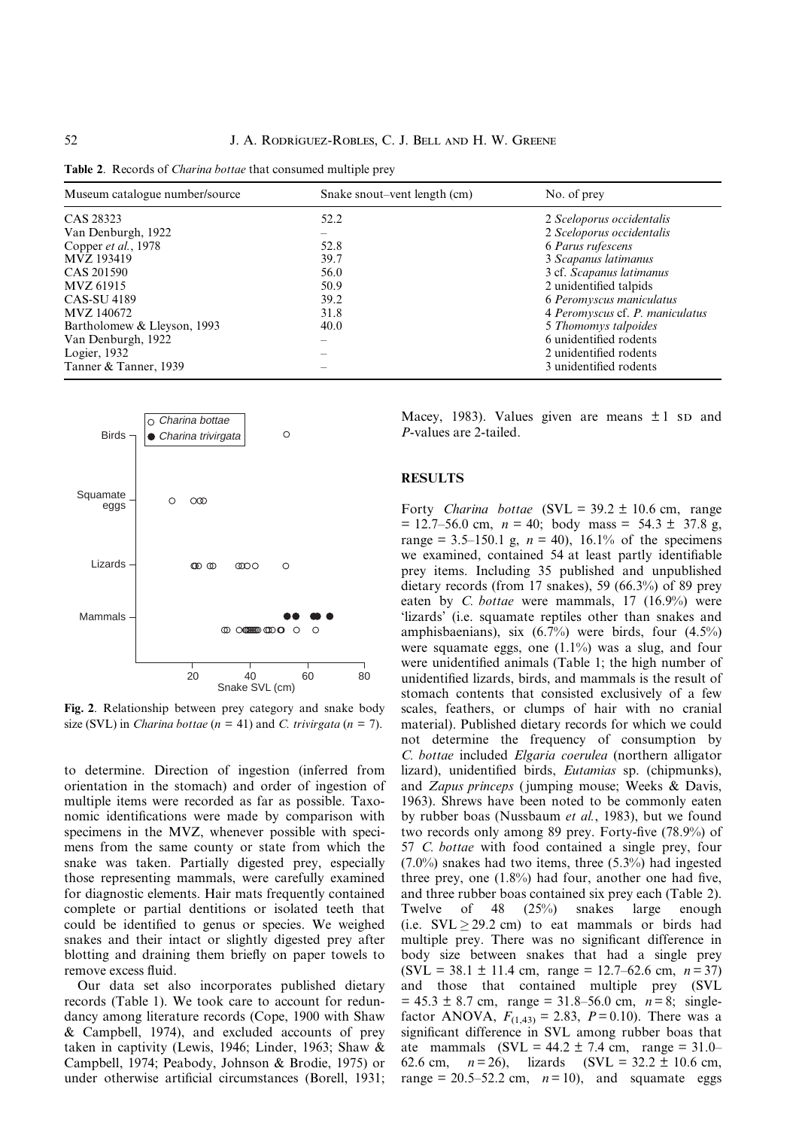Table 2. Records of *Charina bottae* that consumed multiple prey

| Museum catalogue number/source | Snake snout-vent length (cm) | No. of prey                     |  |
|--------------------------------|------------------------------|---------------------------------|--|
| CAS 28323                      | 52.2                         | 2 Sceloporus occidentalis       |  |
| Van Denburgh, 1922             |                              | 2 Sceloporus occidentalis       |  |
| Copper et al., 1978            | 52.8                         | 6 Parus rufescens               |  |
| MVZ 193419                     | 39.7                         | 3 Scapanus latimanus            |  |
| CAS 201590                     | 56.0                         | 3 cf. Scapanus latimanus        |  |
| MVZ 61915                      | 50.9                         | 2 unidentified talpids          |  |
| <b>CAS-SU 4189</b>             | 39.2                         | 6 Peromyscus maniculatus        |  |
| MVZ 140672                     | 31.8                         | 4 Peromyscus cf. P. maniculatus |  |
| Bartholomew & Lleyson, 1993    | 40.0                         | 5 Thomomys talpoides            |  |
| Van Denburgh, 1922             |                              | 6 unidentified rodents          |  |
| Logier, 1932                   |                              | 2 unidentified rodents          |  |
| Tanner & Tanner, 1939          |                              | 3 unidentified rodents          |  |



Fig. 2. Relationship between prey category and snake body size (SVL) in *Charina bottae* ( $n = 41$ ) and *C. trivirgata* ( $n = 7$ ).

to determine. Direction of ingestion (inferred from orientation in the stomach) and order of ingestion of multiple items were recorded as far as possible. Taxonomic identifications were made by comparison with specimens in the MVZ, whenever possible with specimens from the same county or state from which the snake was taken. Partially digested prey, especially those representing mammals, were carefully examined for diagnostic elements. Hair mats frequently contained complete or partial dentitions or isolated teeth that could be identified to genus or species. We weighed snakes and their intact or slightly digested prey after blotting and draining them briefly on paper towels to remove excess fluid.

Our data set also incorporates published dietary records (Table 1). We took care to account for redundancy among literature records (Cope, 1900 with Shaw & Campbell, 1974), and excluded accounts of prey taken in captivity (Lewis, 1946; Linder, 1963; Shaw & Campbell, 1974; Peabody, Johnson & Brodie, 1975) or under otherwise artificial circumstances (Borell, 1931; Macey, 1983). Values given are means  $\pm 1$  sp and P-values are 2-tailed.

### RESULTS

Forty Charina bottae (SVL =  $39.2 \pm 10.6$  cm, range  $= 12.7-56.0$  cm,  $n = 40$ ; body mass = 54.3  $\pm$  37.8 g, range = 3.5–150.1 g,  $n = 40$ , 16.1% of the specimens we examined, contained 54 at least partly identifiable prey items. Including 35 published and unpublished dietary records (from 17 snakes), 59 (66.3%) of 89 prey eaten by C. bottae were mammals,  $17$   $(16.9\%)$  were `lizards' (i.e. squamate reptiles other than snakes and amphisbaenians), six  $(6.7\%)$  were birds, four  $(4.5\%)$ were squamate eggs, one (1.1%) was a slug, and four were unidentified animals (Table 1; the high number of unidentified lizards, birds, and mammals is the result of stomach contents that consisted exclusively of a few scales, feathers, or clumps of hair with no cranial material). Published dietary records for which we could not determine the frequency of consumption by C. bottae included Elgaria coerulea (northern alligator lizard), unidentified birds, *Eutamias* sp. (chipmunks), and Zapus princeps ( jumping mouse; Weeks & Davis, 1963). Shrews have been noted to be commonly eaten by rubber boas (Nussbaum et al., 1983), but we found two records only among 89 prey. Forty-five  $(78.9\%)$  of 57 C. bottae with food contained a single prey, four (7.0%) snakes had two items, three (5.3%) had ingested three prey, one  $(1.8\%)$  had four, another one had five, and three rubber boas contained six prey each (Table 2). Twelve of 48 (25%) snakes large enough (i.e.  $SVL \geq 29.2$  cm) to eat mammals or birds had multiple prey. There was no significant difference in body size between snakes that had a single prey  $(SVL = 38.1 \pm 11.4 \text{ cm}, \text{ range} = 12.7{\text -}62.6 \text{ cm}, n = 37)$ and those that contained multiple prey (SVL  $= 45.3 \pm 8.7$  cm, range = 31.8–56.0 cm,  $n = 8$ ; singlefactor ANOVA,  $F_{(1,43)} = 2.83$ ,  $P = 0.10$ ). There was a significant difference in SVL among rubber boas that ate mammals  $(SVL = 44.2 \pm 7.4 \text{ cm}, \text{ range} = 31.0-$ 62.6 cm,  $n = 26$ , lizards (SVL = 32.2  $\pm$  10.6 cm, range = 20.5–52.2 cm,  $n=10$ ), and squamate eggs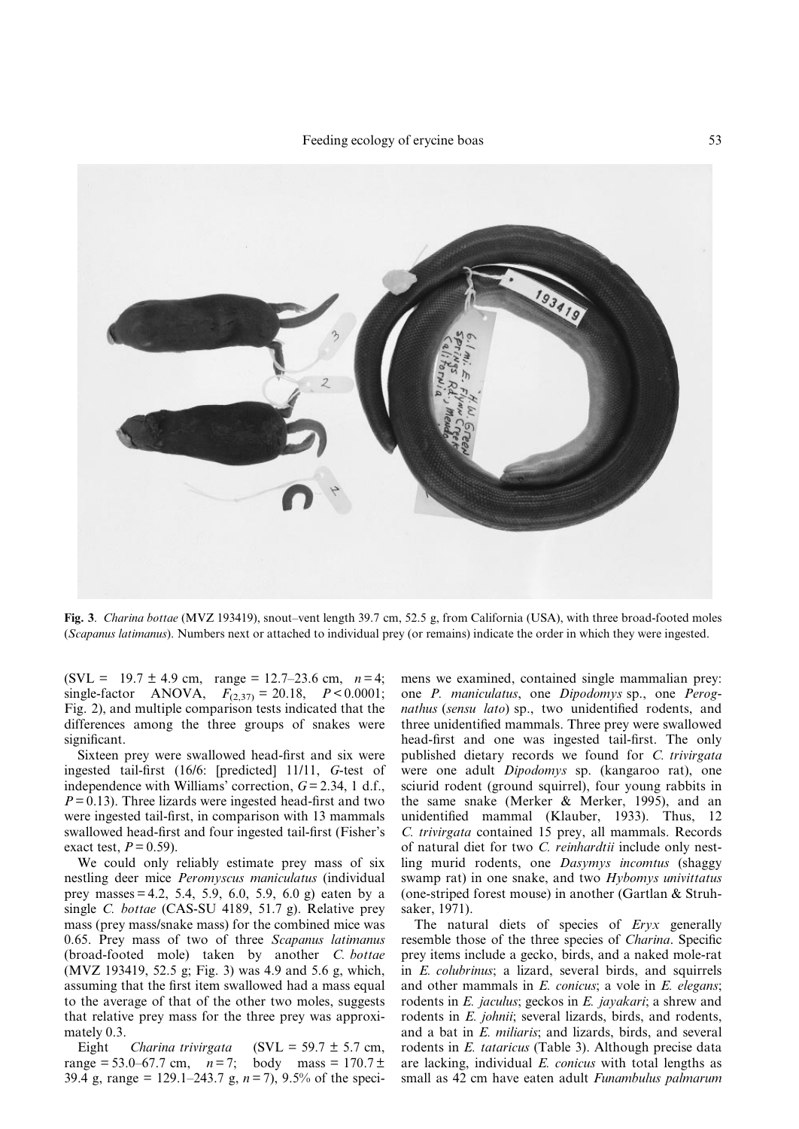

Fig. 3. Charina bottae (MVZ 193419), snout-vent length 39.7 cm, 52.5 g, from California (USA), with three broad-footed moles (Scapanus latimanus). Numbers next or attached to individual prey (or remains) indicate the order in which they were ingested.

(SVL = 19.7  $\pm$  4.9 cm, range = 12.7–23.6 cm,  $n=4$ ; single-factor ANOVA,  $F_{(2,37)} = 20.18$ ,  $P < 0.0001$ ; Fig. 2), and multiple comparison tests indicated that the differences among the three groups of snakes were significant.

Sixteen prey were swallowed head-first and six were ingested tail-first  $(16/6:$  [predicted]  $11/11$ ,  $G$ -test of independence with Williams' correction,  $G = 2.34$ , 1 d.f.,  $P = 0.13$ ). Three lizards were ingested head-first and two were ingested tail-first, in comparison with 13 mammals swallowed head-first and four ingested tail-first (Fisher's exact test,  $P = 0.59$ .

We could only reliably estimate prey mass of six nestling deer mice Peromyscus maniculatus (individual prey masses = 4.2, 5.4, 5.9, 6.0, 5.9, 6.0 g) eaten by a single C. bottae (CAS-SU 4189, 51.7 g). Relative prey mass (prey mass/snake mass) for the combined mice was 0.65. Prey mass of two of three Scapanus latimanus (broad-footed mole) taken by another C. bottae (MVZ 193419, 52.5 g; Fig. 3) was 4.9 and 5.6 g, which, assuming that the first item swallowed had a mass equal to the average of that of the other two moles, suggests that relative prey mass for the three prey was approximately 0.3.

Eight *Charina trivirgata*  $(SVL = 59.7 \pm 5.7 \text{ cm}$ , range = 53.0–67.7 cm,  $n = 7$ ; body mass = 170.7 ± 39.4 g, range = 129.1–243.7 g,  $n = 7$ ), 9.5% of the specimens we examined, contained single mammalian prey: one P. maniculatus, one Dipodomys sp., one Perognathus (sensu lato) sp., two unidentified rodents, and three unidentified mammals. Three prey were swallowed head-first and one was ingested tail-first. The only published dietary records we found for C. trivirgata were one adult Dipodomys sp. (kangaroo rat), one sciurid rodent (ground squirrel), four young rabbits in the same snake (Merker & Merker, 1995), and an unidentified mammal (Klauber, 1933). Thus, 12 C. trivirgata contained 15 prey, all mammals. Records of natural diet for two C. reinhardtii include only nestling murid rodents, one Dasymys incomtus (shaggy swamp rat) in one snake, and two Hybomys univittatus (one-striped forest mouse) in another (Gartlan & Struhsaker, 1971).

The natural diets of species of Eryx generally resemble those of the three species of Charina. Specific prey items include a gecko, birds, and a naked mole-rat in E. colubrinus; a lizard, several birds, and squirrels and other mammals in *E. conicus*; a vole in *E. elegans*; rodents in *E. jaculus*; geckos in *E. jayakari*; a shrew and rodents in E. johnii; several lizards, birds, and rodents, and a bat in E. miliaris; and lizards, birds, and several rodents in E. tataricus (Table 3). Although precise data are lacking, individual E. conicus with total lengths as small as 42 cm have eaten adult Funambulus palmarum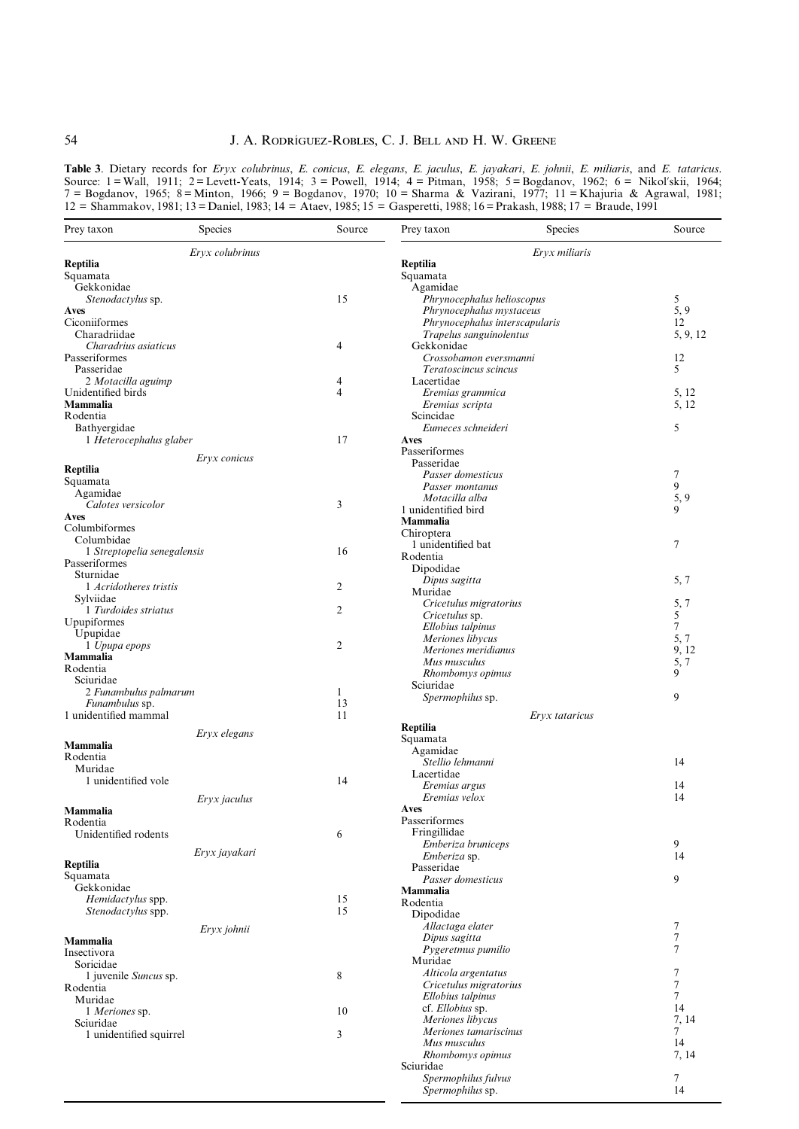# 54 **J. A. RODRIGUEZ-ROBLES, C. J. BELL AND H. W. GREENE**

Table 3. Dietary records for Eryx colubrinus, E. conicus, E. elegans, E. jaculus, E. jayakari, E. johnii, E. miliaris, and E. tataricus. Source: 1 =Wall, 1911; 2 = Levett-Yeats, 1914; 3 = Powell, 1914; 4 = Pitman, 1958; 5 = Bogdanov, 1962; 6 = Nikol'skii, 1964; 7 = Bogdanov, 1965; 8 =Minton, 1966; 9 = Bogdanov, 1970; 10 = Sharma & Vazirani, 1977; 11 = Khajuria & Agrawal, 1981; 12 = Shammakov, 1981; 13 = Daniel, 1983; 14 = Ataev, 1985; 15 = Gasperetti, 1988; 16 = Prakash, 1988; 17 = Braude, 1991

| Prey taxon                          | <b>Species</b>  | Source         | Prey taxon                     | Species        | Source   |
|-------------------------------------|-----------------|----------------|--------------------------------|----------------|----------|
|                                     | Eryx colubrinus |                |                                | Eryx miliaris  |          |
| Reptilia                            |                 |                | Reptilia                       |                |          |
| Squamata                            |                 |                | Squamata                       |                |          |
| Gekkonidae                          |                 |                | Agamidae                       |                |          |
| Stenodactylus sp.                   |                 | 15             | Phrynocephalus helioscopus     |                | 5        |
| Aves                                |                 |                | Phrynocephalus mystaceus       |                | 5,9      |
| Ciconiiformes                       |                 |                | Phrynocephalus interscapularis |                | 12       |
| Charadriidae                        |                 |                | Trapelus sanguinolentus        |                | 5, 9, 12 |
| Charadrius asiaticus                |                 | 4              | Gekkonidae                     |                |          |
| Passeriformes                       |                 |                | Crossobamon eversmanni         |                | 12       |
| Passeridae                          |                 |                | Teratoscincus scincus          |                | 5        |
| 2 Motacilla aguimp                  |                 | 4              | Lacertidae                     |                |          |
| Unidentified birds                  |                 | $\overline{4}$ | Eremias grammica               |                | 5, 12    |
| <b>Mammalia</b>                     |                 |                | Eremias scripta                | 5, 12          |          |
| Rodentia                            |                 |                | Scincidae                      |                |          |
| Bathyergidae                        |                 |                | Eumeces schneideri             |                | 5        |
| 1 Heterocephalus glaber             |                 | 17             | Aves                           |                |          |
|                                     |                 |                | Passeriformes                  |                |          |
|                                     | Eryx conicus    |                | Passeridae                     |                |          |
| Reptilia                            |                 |                | Passer domesticus              |                | 7        |
| Squamata                            |                 |                | Passer montanus                |                | 9        |
| Agamidae                            |                 |                | Motacilla alba                 |                | 5, 9     |
| Calotes versicolor                  |                 | 3              | 1 unidentified bird            |                | 9        |
| Aves                                |                 |                | Mammalia                       |                |          |
| Columbiformes                       |                 |                | Chiroptera                     |                |          |
| Columbidae                          |                 |                | 1 unidentified bat             |                | 7        |
| 1 Streptopelia senegalensis         |                 | 16             | Rodentia                       |                |          |
| Passeriformes                       |                 |                | Dipodidae                      |                |          |
| Sturnidae                           |                 |                | Dipus sagitta                  |                | 5, 7     |
| 1 Acridotheres tristis<br>Svlviidae |                 | 2              | Muridae                        |                |          |
|                                     |                 |                | Cricetulus migratorius         |                | 5, 7     |
| 1 Turdoides striatus                |                 | 2              | <i>Cricetulus</i> sp.          |                | 5        |
| Upupiformes                         |                 |                | Ellobius talpinus              |                | 7        |
| Upupidae                            |                 |                | Meriones libycus               |                | 5,7      |
| 1 Upupa epops<br>Mammalia           |                 | 2              | Meriones meridianus            |                | 9,12     |
|                                     |                 |                | Mus musculus                   |                | 5, 7     |
| Rodentia                            |                 |                | Rhombomys opimus               |                | 9        |
| Sciuridae                           |                 |                | Sciuridae                      |                |          |
| 2 Funambulus palmarum               |                 | $\mathbf{1}$   | Spermophilus sp.               |                | 9        |
| Funambulus sp.                      |                 | 13             |                                |                |          |
| 1 unidentified mammal               |                 | 11             |                                | Eryx tataricus |          |
|                                     | Eryx elegans    |                | Reptilia                       |                |          |
| Mammalia                            |                 |                | Squamata                       |                |          |
| Rodentia                            |                 |                | Agamidae<br>Stellio lehmanni   |                | 14       |
| Muridae                             |                 |                | Lacertidae                     |                |          |
| 1 unidentified vole                 |                 | 14             | Eremias argus                  |                | 14       |
|                                     |                 |                |                                |                |          |
|                                     | Eryx jaculus    |                | Eremias velox                  |                | 14       |
| Mammalia                            |                 |                | Aves<br>Passeriformes          |                |          |
| Rodentia                            |                 |                | Fringillidae                   |                |          |
| Unidentified rodents                |                 | 6              | Emberiza bruniceps             |                | 9        |
|                                     | Eryx jayakari   |                | Emberiza sp.                   |                | 14       |
| Reptilia                            |                 |                | Passeridae                     |                |          |
| Squamata                            |                 |                | Passer domesticus              |                | 9        |
| Gekkonidae                          |                 |                | Mammalia                       |                |          |
| Hemidactylus spp.                   |                 | 15             | Rodentia                       |                |          |
| <i>Stenodactylus</i> spp.           |                 | 15             | Dipodidae                      |                |          |
|                                     |                 |                | Allactaga elater               |                | 7        |
|                                     | Eryx johnii     |                | Dipus sagitta                  |                | $\tau$   |
| Mammalia                            |                 |                | Pygeretmus pumilio             |                | 7        |
| Insectivora                         |                 |                | Muridae                        |                |          |
| Soricidae                           |                 |                | Alticola argentatus            |                | 7        |
| 1 juvenile Suncus sp.               |                 | 8              | Cricetulus migratorius         |                | $\tau$   |
| Rodentia                            |                 |                | Ellobius talpinus              |                | $\tau$   |
| Muridae                             |                 |                | cf. Ellobius sp.               |                | 14       |
| 1 Meriones sp.                      |                 | 10             | Meriones libycus               |                | 7, 14    |
| Sciuridae                           |                 |                | Meriones tamariscinus          |                | $\tau$   |
| 1 unidentified squirrel             |                 | 3              | Mus musculus                   |                | 14       |
|                                     |                 |                | Rhombomys opimus               |                | 7, 14    |
|                                     |                 |                | Sciuridae                      |                |          |
|                                     |                 |                | Spermophilus fulvus            |                | 7        |
|                                     |                 |                | Spermophilus sp.               |                | 14       |
|                                     |                 |                |                                |                |          |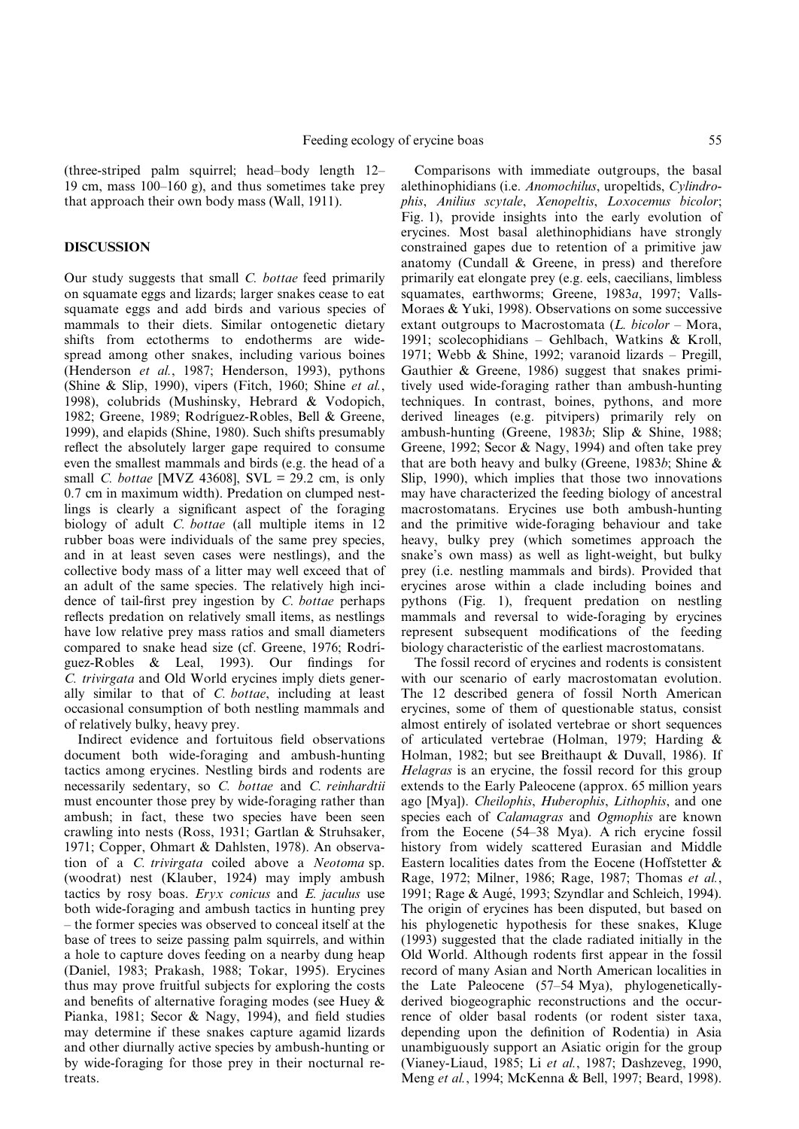(three-striped palm squirrel; head-body length  $12-$ 19 cm, mass  $100-160$  g), and thus sometimes take prey that approach their own body mass (Wall, 1911).

#### DISCUSSION

Our study suggests that small C. bottae feed primarily on squamate eggs and lizards; larger snakes cease to eat squamate eggs and add birds and various species of mammals to their diets. Similar ontogenetic dietary shifts from ectotherms to endotherms are widespread among other snakes, including various boines (Henderson et al., 1987; Henderson, 1993), pythons (Shine & Slip, 1990), vipers (Fitch, 1960; Shine et al., 1998), colubrids (Mushinsky, Hebrard & Vodopich, 1982; Greene, 1989; Rodríguez-Robles, Bell & Greene, 1999), and elapids (Shine, 1980). Such shifts presumably reflect the absolutely larger gape required to consume even the smallest mammals and birds (e.g. the head of a small C. bottae [MVZ 43608], SVL =  $29.2$  cm, is only 0.7 cm in maximum width). Predation on clumped nestlings is clearly a significant aspect of the foraging biology of adult *C. bottae* (all multiple items in 12 rubber boas were individuals of the same prey species, and in at least seven cases were nestlings), and the collective body mass of a litter may well exceed that of an adult of the same species. The relatively high incidence of tail-first prey ingestion by  $C$ . *bottae* perhaps reflects predation on relatively small items, as nestlings have low relative prey mass ratios and small diameters compared to snake head size (cf. Greene, 1976; Rodríguez-Robles & Leal, 1993). Our findings for C. trivirgata and Old World erycines imply diets generally similar to that of C. bottae, including at least occasional consumption of both nestling mammals and of relatively bulky, heavy prey.

Indirect evidence and fortuitous field observations document both wide-foraging and ambush-hunting tactics among erycines. Nestling birds and rodents are necessarily sedentary, so C. bottae and C. reinhardtii must encounter those prey by wide-foraging rather than ambush; in fact, these two species have been seen crawling into nests (Ross, 1931; Gartlan & Struhsaker, 1971; Copper, Ohmart & Dahlsten, 1978). An observation of a C. trivirgata coiled above a Neotoma sp. (woodrat) nest (Klauber, 1924) may imply ambush tactics by rosy boas. Eryx conicus and  $E$ . jaculus use both wide-foraging and ambush tactics in hunting prey ± the former species was observed to conceal itself at the base of trees to seize passing palm squirrels, and within a hole to capture doves feeding on a nearby dung heap (Daniel, 1983; Prakash, 1988; Tokar, 1995). Erycines thus may prove fruitful subjects for exploring the costs and benefits of alternative foraging modes (see Huey  $\&$ Pianka, 1981; Secor & Nagy, 1994), and field studies may determine if these snakes capture agamid lizards and other diurnally active species by ambush-hunting or by wide-foraging for those prey in their nocturnal retreats.

Comparisons with immediate outgroups, the basal alethinophidians (i.e. Anomochilus, uropeltids, Cylindrophis, Anilius scytale, Xenopeltis, Loxocemus bicolor; Fig. 1), provide insights into the early evolution of erycines. Most basal alethinophidians have strongly constrained gapes due to retention of a primitive jaw anatomy (Cundall & Greene, in press) and therefore primarily eat elongate prey (e.g. eels, caecilians, limbless squamates, earthworms; Greene, 1983a, 1997; Valls-Moraes & Yuki, 1998). Observations on some successive extant outgroups to Macrostomata  $(L. bicolor - Mora,$ 1991; scolecophidians - Gehlbach, Watkins & Kroll, 1971; Webb & Shine, 1992; varanoid lizards - Pregill, Gauthier & Greene, 1986) suggest that snakes primitively used wide-foraging rather than ambush-hunting techniques. In contrast, boines, pythons, and more derived lineages (e.g. pitvipers) primarily rely on ambush-hunting (Greene, 1983b; Slip & Shine, 1988; Greene, 1992; Secor & Nagy, 1994) and often take prey that are both heavy and bulky (Greene, 1983b; Shine & Slip, 1990), which implies that those two innovations may have characterized the feeding biology of ancestral macrostomatans. Erycines use both ambush-hunting and the primitive wide-foraging behaviour and take heavy, bulky prey (which sometimes approach the snake's own mass) as well as light-weight, but bulky prey (i.e. nestling mammals and birds). Provided that erycines arose within a clade including boines and pythons (Fig. 1), frequent predation on nestling mammals and reversal to wide-foraging by erycines represent subsequent modifications of the feeding biology characteristic of the earliest macrostomatans.

The fossil record of erycines and rodents is consistent with our scenario of early macrostomatan evolution. The 12 described genera of fossil North American erycines, some of them of questionable status, consist almost entirely of isolated vertebrae or short sequences of articulated vertebrae (Holman, 1979; Harding & Holman, 1982; but see Breithaupt & Duvall, 1986). If Helagras is an erycine, the fossil record for this group extends to the Early Paleocene (approx. 65 million years ago [Mya]). Cheilophis, Huberophis, Lithophis, and one species each of *Calamagras* and *Ogmophis* are known from the Eocene  $(54-38 \text{ Mya})$ . A rich erycine fossil history from widely scattered Eurasian and Middle Eastern localities dates from the Eocene (Hoffstetter & Rage, 1972; Milner, 1986; Rage, 1987; Thomas et al., 1991; Rage & Augé, 1993; Szyndlar and Schleich, 1994). The origin of erycines has been disputed, but based on his phylogenetic hypothesis for these snakes, Kluge (1993) suggested that the clade radiated initially in the Old World. Although rodents first appear in the fossil record of many Asian and North American localities in the Late Paleocene  $(57-54 \text{ Mya})$ , phylogeneticallyderived biogeographic reconstructions and the occurrence of older basal rodents (or rodent sister taxa, depending upon the definition of Rodentia) in Asia unambiguously support an Asiatic origin for the group (Vianey-Liaud, 1985; Li et al., 1987; Dashzeveg, 1990, Meng et al., 1994; McKenna & Bell, 1997; Beard, 1998).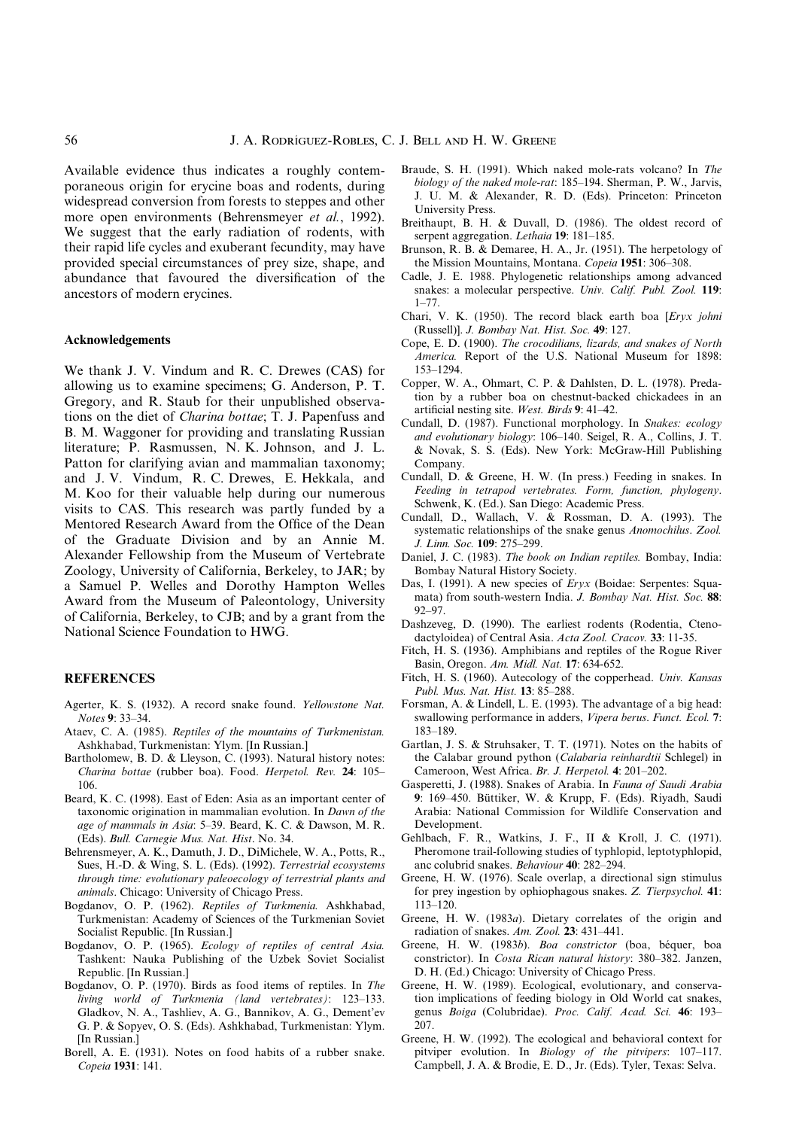Available evidence thus indicates a roughly contemporaneous origin for erycine boas and rodents, during widespread conversion from forests to steppes and other more open environments (Behrensmeyer *et al.*, 1992). We suggest that the early radiation of rodents, with their rapid life cycles and exuberant fecundity, may have provided special circumstances of prey size, shape, and abundance that favoured the diversification of the ancestors of modern erycines.

#### Acknowledgements

We thank J. V. Vindum and R. C. Drewes (CAS) for allowing us to examine specimens; G. Anderson, P. T. Gregory, and R. Staub for their unpublished observations on the diet of Charina bottae; T. J. Papenfuss and B. M. Waggoner for providing and translating Russian literature; P. Rasmussen, N. K. Johnson, and J. L. Patton for clarifying avian and mammalian taxonomy; and J. V. Vindum, R. C. Drewes, E. Hekkala, and M. Koo for their valuable help during our numerous visits to CAS. This research was partly funded by a Mentored Research Award from the Office of the Dean of the Graduate Division and by an Annie M. Alexander Fellowship from the Museum of Vertebrate Zoology, University of California, Berkeley, to JAR; by a Samuel P. Welles and Dorothy Hampton Welles Award from the Museum of Paleontology, University of California, Berkeley, to CJB; and by a grant from the National Science Foundation to HWG.

#### **REFERENCES**

- Agerter, K. S. (1932). A record snake found. Yellowstone Nat. Notes 9: 33-34.
- Ataev, C. A. (1985). Reptiles of the mountains of Turkmenistan. Ashkhabad, Turkmenistan: Ylym. [In Russian.]
- Bartholomew, B. D. & Lleyson, C. (1993). Natural history notes: Charina bottae (rubber boa). Food. Herpetol. Rev. 24: 105-106.
- Beard, K. C. (1998). East of Eden: Asia as an important center of taxonomic origination in mammalian evolution. In Dawn of the age of mammals in Asia: 5-39. Beard, K. C. & Dawson, M. R. (Eds). Bull. Carnegie Mus. Nat. Hist. No. 34.
- Behrensmeyer, A. K., Damuth, J. D., DiMichele, W. A., Potts, R., Sues, H.-D. & Wing, S. L. (Eds). (1992). Terrestrial ecosystems through time: evolutionary paleoecology of terrestrial plants and animals. Chicago: University of Chicago Press.
- Bogdanov, O. P. (1962). Reptiles of Turkmenia. Ashkhabad, Turkmenistan: Academy of Sciences of the Turkmenian Soviet Socialist Republic. [In Russian.]
- Bogdanov, O. P. (1965). Ecology of reptiles of central Asia. Tashkent: Nauka Publishing of the Uzbek Soviet Socialist Republic. [In Russian.]
- Bogdanov, O. P. (1970). Birds as food items of reptiles. In The living world of Turkmenia (land vertebrates): 123-133. Gladkov, N. A., Tashliev, A. G., Bannikov, A. G., Dement'ev G. P. & Sopyev, O. S. (Eds). Ashkhabad, Turkmenistan: Ylym. [In Russian.]
- Borell, A. E. (1931). Notes on food habits of a rubber snake. Copeia 1931: 141.
- Braude, S. H. (1991). Which naked mole-rats volcano? In The biology of the naked mole-rat: 185-194. Sherman, P. W., Jarvis, J. U. M. & Alexander, R. D. (Eds). Princeton: Princeton University Press.
- Breithaupt, B. H. & Duvall, D. (1986). The oldest record of serpent aggregation. Lethaia 19: 181-185.
- Brunson, R. B. & Demaree, H. A., Jr. (1951). The herpetology of the Mission Mountains, Montana. Copeia 1951: 306-308.
- Cadle, J. E. 1988. Phylogenetic relationships among advanced snakes: a molecular perspective. Univ. Calif. Publ. Zool. 119:  $1 - 77$
- Chari, V. K. (1950). The record black earth boa [Eryx johni (Russell)]. J. Bombay Nat. Hist. Soc. 49: 127.
- Cope, E. D. (1900). The crocodilians, lizards, and snakes of North America. Report of the U.S. National Museum for 1898: 153±1294.
- Copper, W. A., Ohmart, C. P. & Dahlsten, D. L. (1978). Predation by a rubber boa on chestnut-backed chickadees in an artificial nesting site. West. Birds 9: 41-42.
- Cundall, D. (1987). Functional morphology. In Snakes: ecology and evolutionary biology: 106-140. Seigel, R. A., Collins, J. T. & Novak, S. S. (Eds). New York: McGraw-Hill Publishing Company.
- Cundall, D. & Greene, H. W. (In press.) Feeding in snakes. In Feeding in tetrapod vertebrates. Form, function, phylogeny. Schwenk, K. (Ed.). San Diego: Academic Press.
- Cundall, D., Wallach, V. & Rossman, D. A. (1993). The systematic relationships of the snake genus Anomochilus. Zool. J. Linn. Soc. 109: 275-299.
- Daniel, J. C. (1983). The book on Indian reptiles. Bombay, India: Bombay Natural History Society.
- Das, I. (1991). A new species of Eryx (Boidae: Serpentes: Squamata) from south-western India. J. Bombay Nat. Hist. Soc. 88: 92±97.
- Dashzeveg, D. (1990). The earliest rodents (Rodentia, Ctenodactyloidea) of Central Asia. Acta Zool. Cracov. 33: 11-35.
- Fitch, H. S. (1936). Amphibians and reptiles of the Rogue River Basin, Oregon. Am. Midl. Nat. 17: 634-652.
- Fitch, H. S. (1960). Autecology of the copperhead. Univ. Kansas Publ. Mus. Nat. Hist. 13: 85-288.
- Forsman, A. & Lindell, L. E. (1993). The advantage of a big head: swallowing performance in adders, Vipera berus. Funct. Ecol. 7: 183±189.
- Gartlan, J. S. & Struhsaker, T. T. (1971). Notes on the habits of the Calabar ground python (Calabaria reinhardtii Schlegel) in Cameroon, West Africa. Br. J. Herpetol. 4: 201-202.
- Gasperetti, J. (1988). Snakes of Arabia. In Fauna of Saudi Arabia 9: 169-450. Büttiker, W. & Krupp, F. (Eds). Riyadh, Saudi Arabia: National Commission for Wildlife Conservation and Development.
- Gehlbach, F. R., Watkins, J. F., II & Kroll, J. C. (1971). Pheromone trail-following studies of typhlopid, leptotyphlopid, anc colubrid snakes. Behaviour 40: 282-294.
- Greene, H. W. (1976). Scale overlap, a directional sign stimulus for prey ingestion by ophiophagous snakes. Z. Tierpsychol. 41: 113±120.
- Greene, H. W. (1983a). Dietary correlates of the origin and radiation of snakes. Am. Zool. 23: 431-441.
- Greene, H. W. (1983b). Boa constrictor (boa, béquer, boa constrictor). In Costa Rican natural history: 380-382. Janzen, D. H. (Ed.) Chicago: University of Chicago Press.
- Greene, H. W. (1989). Ecological, evolutionary, and conservation implications of feeding biology in Old World cat snakes, genus Boiga (Colubridae). Proc. Calif. Acad. Sci. 46: 193-207.
- Greene, H. W. (1992). The ecological and behavioral context for pitviper evolution. In Biology of the pitvipers:  $107-117$ . Campbell, J. A. & Brodie, E. D., Jr. (Eds). Tyler, Texas: Selva.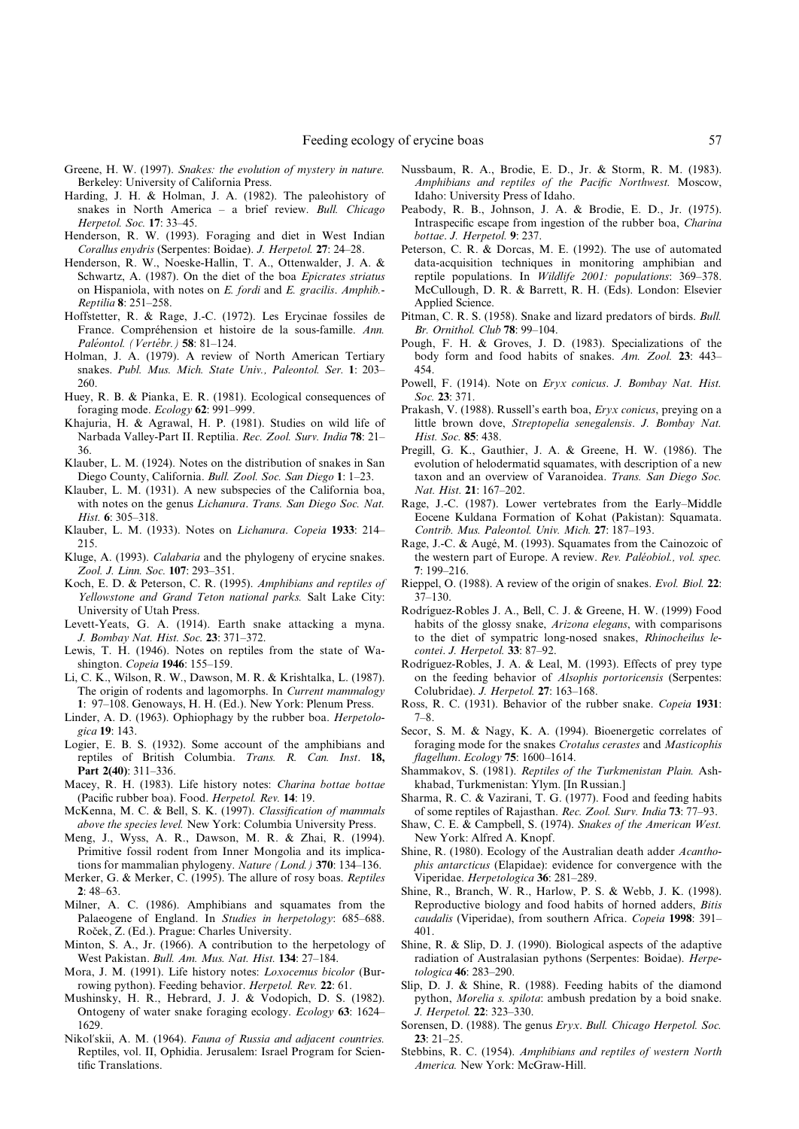- Greene, H. W. (1997). Snakes: the evolution of mystery in nature. Berkeley: University of California Press.
- Harding, J. H. & Holman, J. A. (1982). The paleohistory of snakes in North America  $-$  a brief review. Bull. Chicago Herpetol. Soc. 17: 33-45.
- Henderson, R. W. (1993). Foraging and diet in West Indian Corallus enydris (Serpentes: Boidae). J. Herpetol. 27: 24-28.
- Henderson, R. W., Noeske-Hallin, T. A., Ottenwalder, J. A. & Schwartz, A. (1987). On the diet of the boa Epicrates striatus on Hispaniola, with notes on E. fordi and E. gracilis. Amphib.- Reptilia 8: 251-258.
- Hoffstetter, R. & Rage, J.-C. (1972). Les Erycinae fossiles de France. Compréhension et histoire de la sous-famille. Ann. Paléontol. (Vertébr.) 58: 81-124.
- Holman, J. A. (1979). A review of North American Tertiary snakes. Publ. Mus. Mich. State Univ., Paleontol. Ser. 1: 203-260.
- Huey, R. B. & Pianka, E. R. (1981). Ecological consequences of foraging mode.  $Ecology$  62: 991-999.
- Khajuria, H. & Agrawal, H. P. (1981). Studies on wild life of Narbada Valley-Part II. Reptilia. Rec. Zool. Surv. India 78: 21-36.
- Klauber, L. M. (1924). Notes on the distribution of snakes in San Diego County, California. Bull. Zool. Soc. San Diego 1: 1-23.
- Klauber, L. M. (1931). A new subspecies of the California boa, with notes on the genus Lichanura. Trans. San Diego Soc. Nat. Hist.  $6: 305-318$ .
- Klauber, L. M. (1933). Notes on *Lichanura. Copeia* 1933: 214-215.
- Kluge, A. (1993). Calabaria and the phylogeny of erycine snakes. Zool. J. Linn. Soc. 107: 293-351.
- Koch, E. D. & Peterson, C. R. (1995). Amphibians and reptiles of Yellowstone and Grand Teton national parks. Salt Lake City: University of Utah Press.
- Levett-Yeats, G. A. (1914). Earth snake attacking a myna. J. Bombay Nat. Hist. Soc. 23: 371-372.
- Lewis, T. H. (1946). Notes on reptiles from the state of Washington. Copeia 1946: 155-159.
- Li, C. K., Wilson, R. W., Dawson, M. R. & Krishtalka, L. (1987). The origin of rodents and lagomorphs. In Current mammalogy 1: 97–108. Genoways, H. H. (Ed.). New York: Plenum Press.
- Linder, A. D. (1963). Ophiophagy by the rubber boa. Herpetologica 19: 143.
- Logier, E. B. S. (1932). Some account of the amphibians and reptiles of British Columbia. Trans. R. Can. Inst. 18, Part 2(40): 311-336.
- Macey, R. H. (1983). Life history notes: Charina bottae bottae (Pacific rubber boa). Food. Herpetol. Rev. 14: 19.
- McKenna, M. C. & Bell, S. K. (1997). Classification of mammals above the species level. New York: Columbia University Press.
- Meng, J., Wyss, A. R., Dawson, M. R. & Zhai, R. (1994). Primitive fossil rodent from Inner Mongolia and its implications for mammalian phylogeny. Nature (Lond.)  $370$ : 134-136.
- Merker, G. & Merker, C. (1995). The allure of rosy boas. Reptiles  $2:48-63.$
- Milner, A. C. (1986). Amphibians and squamates from the Palaeogene of England. In Studies in herpetology: 685-688. Roček, Z. (Ed.). Prague: Charles University.
- Minton, S. A., Jr. (1966). A contribution to the herpetology of West Pakistan. Bull. Am. Mus. Nat. Hist. 134: 27-184.
- Mora, J. M. (1991). Life history notes: Loxocemus bicolor (Burrowing python). Feeding behavior. Herpetol. Rev. 22: 61.
- Mushinsky, H. R., Hebrard, J. J. & Vodopich, D. S. (1982). Ontogeny of water snake foraging ecology. Ecology 63: 1624-1629.
- Nikol'skii, A. M. (1964). Fauna of Russia and adjacent countries. Reptiles, vol. II, Ophidia. Jerusalem: Israel Program for Scientific Translations.
- Nussbaum, R. A., Brodie, E. D., Jr. & Storm, R. M. (1983). Amphibians and reptiles of the Pacific Northwest. Moscow, Idaho: University Press of Idaho.
- Peabody, R. B., Johnson, J. A. & Brodie, E. D., Jr. (1975). Intraspecific escape from ingestion of the rubber boa, Charina bottae. J. Herpetol. 9: 237.
- Peterson, C. R. & Dorcas, M. E. (1992). The use of automated data-acquisition techniques in monitoring amphibian and reptile populations. In Wildlife 2001: populations: 369-378. McCullough, D. R. & Barrett, R. H. (Eds). London: Elsevier Applied Science.
- Pitman, C. R. S. (1958). Snake and lizard predators of birds. Bull. Br. Ornithol. Club 78: 99-104.
- Pough, F. H. & Groves, J. D. (1983). Specializations of the body form and food habits of snakes. Am. Zool. 23: 443-454.
- Powell, F. (1914). Note on Eryx conicus. J. Bombay Nat. Hist. Soc. 23: 371.
- Prakash, V. (1988). Russell's earth boa, Eryx conicus, preying on a little brown dove, Streptopelia senegalensis. J. Bombay Nat. Hist. Soc. 85: 438.
- Pregill, G. K., Gauthier, J. A. & Greene, H. W. (1986). The evolution of helodermatid squamates, with description of a new taxon and an overview of Varanoidea. Trans. San Diego Soc. Nat. Hist. 21: 167-202.
- Rage, J.-C. (1987). Lower vertebrates from the Early-Middle Eocene Kuldana Formation of Kohat (Pakistan): Squamata. Contrib. Mus. Paleontol. Univ. Mich. 27: 187-193.
- Rage, J.-C. & Augé, M. (1993). Squamates from the Cainozoic of the western part of Europe. A review. Rev. Paléobiol., vol. spec. 7: 199±216.
- Rieppel, O. (1988). A review of the origin of snakes. Evol. Biol. 22: 37±130.
- Rodríguez-Robles J. A., Bell, C. J. & Greene, H. W. (1999) Food habits of the glossy snake, Arizona elegans, with comparisons to the diet of sympatric long-nosed snakes, Rhinocheilus lecontei. J. Herpetol. 33: 87-92.
- Rodríguez-Robles, J. A. & Leal, M. (1993). Effects of prey type on the feeding behavior of Alsophis portoricensis (Serpentes: Colubridae). J. Herpetol. 27: 163-168.
- Ross, R. C. (1931). Behavior of the rubber snake. Copeia 1931:  $7 - 8.$
- Secor, S. M. & Nagy, K. A. (1994). Bioenergetic correlates of foraging mode for the snakes Crotalus cerastes and Masticophis  $flagellum. Ecology$   $75: 1600-1614.$
- Shammakov, S. (1981). Reptiles of the Turkmenistan Plain. Ashkhabad, Turkmenistan: Ylym. [In Russian.]
- Sharma, R. C. & Vazirani, T. G. (1977). Food and feeding habits of some reptiles of Rajasthan. Rec. Zool. Surv. India 73: 77-93.
- Shaw, C. E. & Campbell, S. (1974). Snakes of the American West. New York: Alfred A. Knopf.
- Shine, R. (1980). Ecology of the Australian death adder Acanthophis antarcticus (Elapidae): evidence for convergence with the Viperidae. Herpetologica 36: 281–289.
- Shine, R., Branch, W. R., Harlow, P. S. & Webb, J. K. (1998). Reproductive biology and food habits of horned adders, Bitis caudalis (Viperidae), from southern Africa. Copeia 1998: 391-401.
- Shine, R. & Slip, D. J. (1990). Biological aspects of the adaptive radiation of Australasian pythons (Serpentes: Boidae). Herpetologica  $46: 283 - 290$ .
- Slip, D. J. & Shine, R. (1988). Feeding habits of the diamond python, Morelia s. spilota: ambush predation by a boid snake. J. Herpetol. 22: 323-330.
- Sorensen, D. (1988). The genus Eryx. Bull. Chicago Herpetol. Soc.  $23: 21 - 25.$
- Stebbins, R. C. (1954). Amphibians and reptiles of western North America. New York: McGraw-Hill.